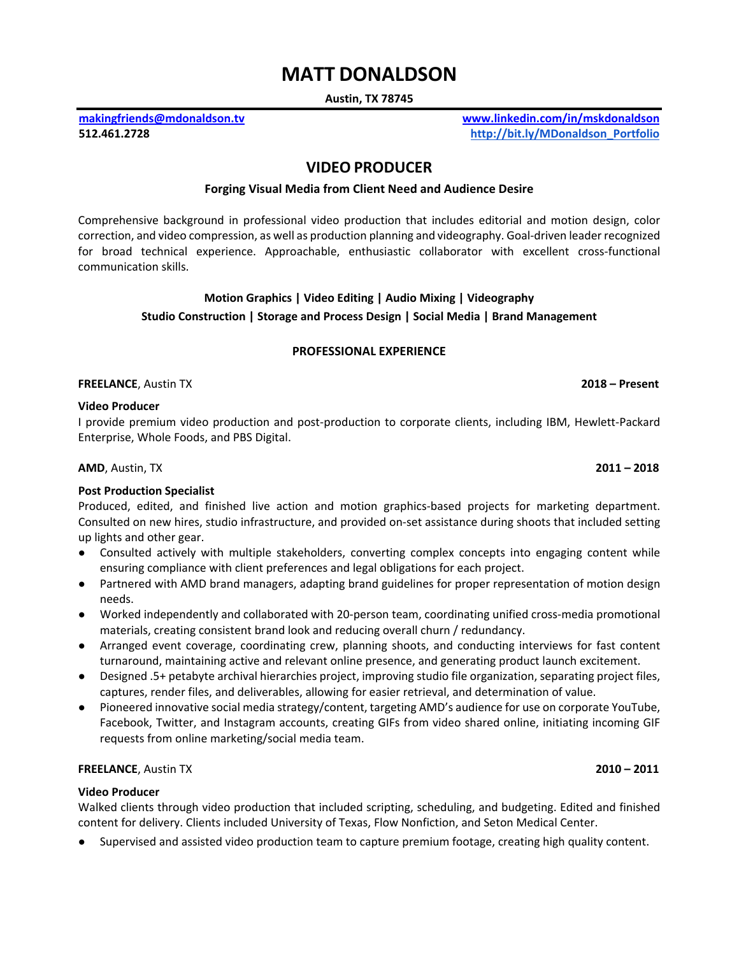# **MATT DONALDSON**

**Austin, TX 78745**

**[makingfriends@mdonaldson.tv](mailto:makingfriends@mdonaldson.tv) www.linkedin.com/in/mskdonaldson 512.461.2728 [http://bit.ly/MDonaldson\\_Portfolio](http://bit.ly/MDonaldson_Portfolio)**

# **VIDEO PRODUCER**

# **Forging Visual Media from Client Need and Audience Desire**

Comprehensive background in professional video production that includes editorial and motion design, color correction, and video compression, as well as production planning and videography. Goal-driven leader recognized for broad technical experience. Approachable, enthusiastic collaborator with excellent cross-functional communication skills.

# **Motion Graphics | Video Editing | Audio Mixing | Videography Studio Construction | Storage and Process Design | Social Media | Brand Management**

# **PROFESSIONAL EXPERIENCE**

**FREELANCE**, Austin TX **2018 – Present**

# **Video Producer**

I provide premium video production and post-production to corporate clients, including IBM, Hewlett-Packard Enterprise, Whole Foods, and PBS Digital.

**[AMD](https://www.amd.com/en)**, Austin, TX **2011 – 2018**

# **Post Production Specialist**

Produced, edited, and finished live action and motion graphics-based projects for marketing department. Consulted on new hires, studio infrastructure, and provided on-set assistance during shoots that included setting up lights and other gear.

- Consulted actively with multiple stakeholders, converting complex concepts into engaging content while ensuring compliance with client preferences and legal obligations for each project.
- Partnered with AMD brand managers, adapting brand guidelines for proper representation of motion design needs.
- Worked independently and collaborated with 20-person team, coordinating unified cross-media promotional materials, creating consistent brand look and reducing overall churn / redundancy.
- Arranged event coverage, coordinating crew, planning shoots, and conducting interviews for fast content turnaround, maintaining active and relevant online presence, and generating product launch excitement.
- Designed .5+ petabyte archival hierarchies project, improving studio file organization, separating project files, captures, render files, and deliverables, allowing for easier retrieval, and determination of value.
- Pioneered innovative social media strategy/content, targeting AMD's audience for use on corporate YouTube, Facebook, Twitter, and Instagram accounts, creating GIFs from video shared online, initiating incoming GIF requests from online marketing/social media team.

# **FREELANCE**, Austin TX **2010 – 2011**

# **Video Producer**

Walked clients through video production that included scripting, scheduling, and budgeting. Edited and finished content for delivery. Clients included University of Texas, Flow Nonfiction, and Seton Medical Center.

Supervised and assisted video production team to capture premium footage, creating high quality content.